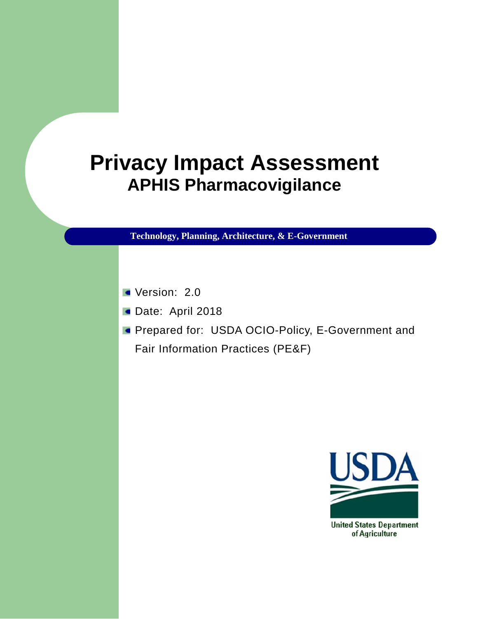# **Privacy Impact Assessment APHIS Pharmacovigilance**

**Technology, Planning, Architecture, & E-Government**

- Version: 2.0
- Date: April 2018
- **Prepared for: USDA OCIO-Policy, E-Government and** Fair Information Practices (PE&F)

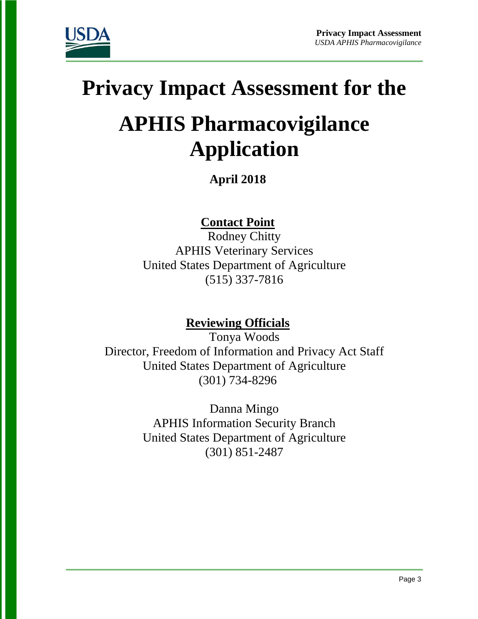

# **Privacy Impact Assessment for the**

# **APHIS Pharmacovigilance Application**

**April 2018**

**Contact Point**

Rodney Chitty APHIS Veterinary Services United States Department of Agriculture (515) 337-7816

# **Reviewing Officials**

Tonya Woods Director, Freedom of Information and Privacy Act Staff United States Department of Agriculture (301) 734-8296

> Danna Mingo APHIS Information Security Branch United States Department of Agriculture (301) 851-2487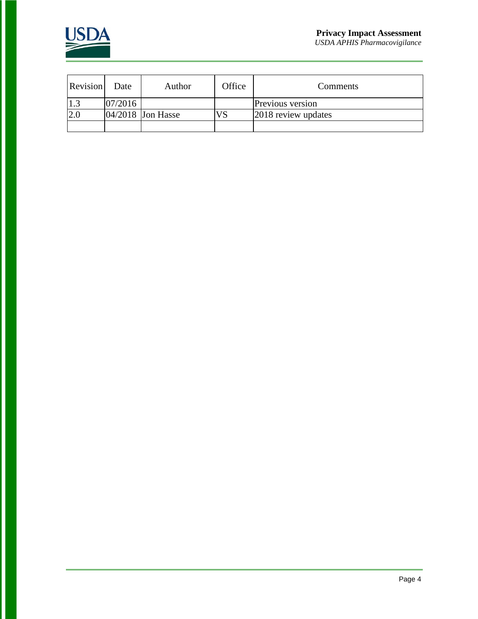

Revision Date Author Office Comments 1.3 07/2016 Previous version<br>2.0 04/2018 Jon Hasse VS 2018 review updates  $04/2018$  Jon Hasse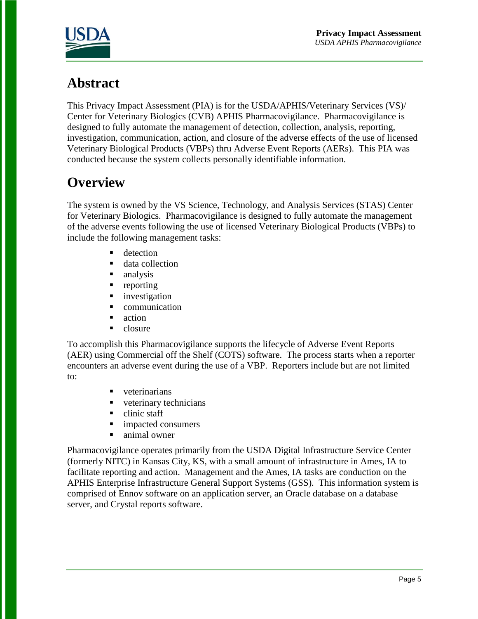

# **Abstract**

This Privacy Impact Assessment (PIA) is for the USDA/APHIS/Veterinary Services (VS)/ Center for Veterinary Biologics (CVB) APHIS Pharmacovigilance. Pharmacovigilance is designed to fully automate the management of detection, collection, analysis, reporting, investigation, communication, action, and closure of the adverse effects of the use of licensed Veterinary Biological Products (VBPs) thru Adverse Event Reports (AERs). This PIA was conducted because the system collects personally identifiable information.

# **Overview**

The system is owned by the VS Science, Technology, and Analysis Services (STAS) Center for Veterinary Biologics. Pharmacovigilance is designed to fully automate the management of the adverse events following the use of licensed Veterinary Biological Products (VBPs) to include the following management tasks:

- **detection**
- data collection
- analysis
- **reporting**
- **n** investigation
- **Communication**
- action
- $\blacksquare$  closure

To accomplish this Pharmacovigilance supports the lifecycle of Adverse Event Reports (AER) using Commercial off the Shelf (COTS) software. The process starts when a reporter encounters an adverse event during the use of a VBP. Reporters include but are not limited to:

- veterinarians
- veterinary technicians
- $\blacksquare$  clinic staff
- **impacted consumers**
- animal owner

Pharmacovigilance operates primarily from the USDA Digital Infrastructure Service Center (formerly NITC) in Kansas City, KS, with a small amount of infrastructure in Ames, IA to facilitate reporting and action. Management and the Ames, IA tasks are conduction on the APHIS Enterprise Infrastructure General Support Systems (GSS). This information system is comprised of Ennov software on an application server, an Oracle database on a database server, and Crystal reports software.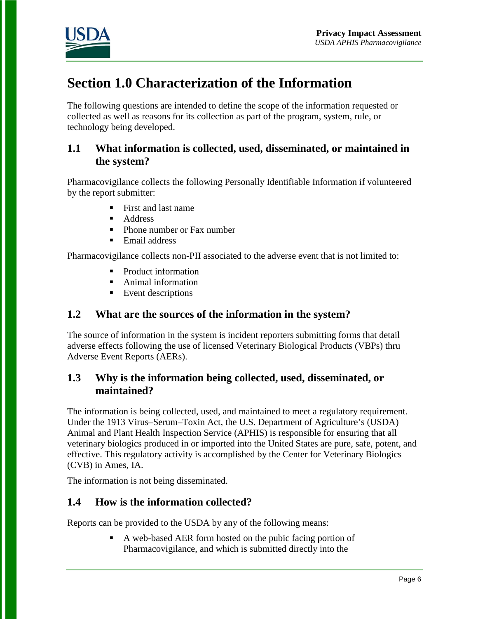

# **Section 1.0 Characterization of the Information**

The following questions are intended to define the scope of the information requested or collected as well as reasons for its collection as part of the program, system, rule, or technology being developed.

# **1.1 What information is collected, used, disseminated, or maintained in the system?**

Pharmacovigilance collects the following Personally Identifiable Information if volunteered by the report submitter:

- First and last name
- **Address**
- **Phone number or Fax number**
- **Email address**

Pharmacovigilance collects non-PII associated to the adverse event that is not limited to:

- Product information
- **Animal information**
- **Event descriptions**

# **1.2 What are the sources of the information in the system?**

The source of information in the system is incident reporters submitting forms that detail adverse effects following the use of licensed Veterinary Biological Products (VBPs) thru Adverse Event Reports (AERs).

### **1.3 Why is the information being collected, used, disseminated, or maintained?**

The information is being collected, used, and maintained to meet a regulatory requirement. Under the 1913 Virus–Serum–Toxin Act, the U.S. Department of Agriculture's (USDA) Animal and Plant Health Inspection Service (APHIS) is responsible for ensuring that all veterinary biologics produced in or imported into the United States are pure, safe, potent, and effective. This regulatory activity is accomplished by the Center for Veterinary Biologics (CVB) in Ames, IA.

The information is not being disseminated.

# **1.4 How is the information collected?**

Reports can be provided to the USDA by any of the following means:

 A web-based AER form hosted on the pubic facing portion of Pharmacovigilance, and which is submitted directly into the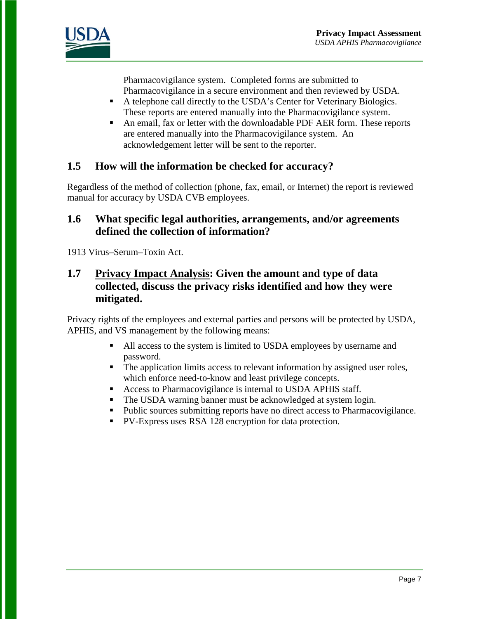

Pharmacovigilance system. Completed forms are submitted to Pharmacovigilance in a secure environment and then reviewed by USDA.

- A telephone call directly to the USDA's Center for Veterinary Biologics. These reports are entered manually into the Pharmacovigilance system.
- An email, fax or letter with the downloadable PDF AER form. These reports are entered manually into the Pharmacovigilance system. An acknowledgement letter will be sent to the reporter.

# **1.5 How will the information be checked for accuracy?**

Regardless of the method of collection (phone, fax, email, or Internet) the report is reviewed manual for accuracy by USDA CVB employees.

### **1.6 What specific legal authorities, arrangements, and/or agreements defined the collection of information?**

1913 Virus–Serum–Toxin Act.

# **1.7 Privacy Impact Analysis: Given the amount and type of data collected, discuss the privacy risks identified and how they were mitigated.**

Privacy rights of the employees and external parties and persons will be protected by USDA, APHIS, and VS management by the following means:

- All access to the system is limited to USDA employees by username and password.
- The application limits access to relevant information by assigned user roles, which enforce need-to-know and least privilege concepts.
- Access to Pharmacovigilance is internal to USDA APHIS staff.
- The USDA warning banner must be acknowledged at system login.
- Public sources submitting reports have no direct access to Pharmacovigilance.
- PV-Express uses RSA 128 encryption for data protection.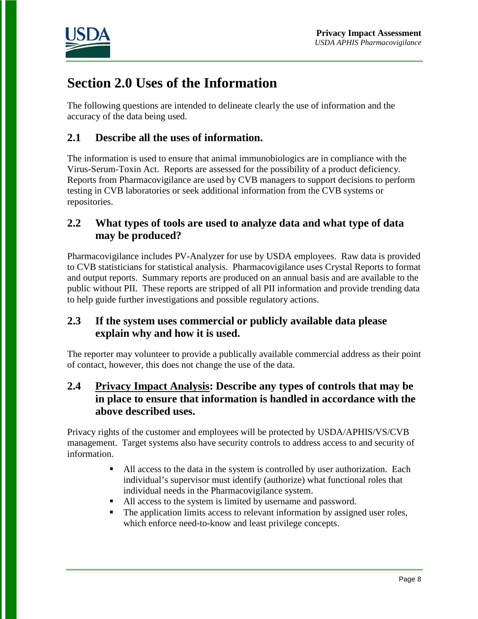

# **Section 2.0 Uses of the Information**

The following questions are intended to delineate clearly the use of information and the accuracy of the data being used.

# **2.1 Describe all the uses of information.**

The information is used to ensure that animal immunobiologics are in compliance with the Virus-Serum-Toxin Act. Reports are assessed for the possibility of a product deficiency. Reports from Pharmacovigilance are used by CVB managers to support decisions to perform testing in CVB laboratories or seek additional information from the CVB systems or repositories.

# **2.2 What types of tools are used to analyze data and what type of data may be produced?**

Pharmacovigilance includes PV-Analyzer for use by USDA employees. Raw data is provided to CVB statisticians for statistical analysis. Pharmacovigilance uses Crystal Reports to format and output reports. Summary reports are produced on an annual basis and are available to the public without PII. These reports are stripped of all PII information and provide trending data to help guide further investigations and possible regulatory actions.

# **2.3 If the system uses commercial or publicly available data please explain why and how it is used.**

The reporter may volunteer to provide a publically available commercial address as their point of contact, however, this does not change the use of the data.

# **2.4 Privacy Impact Analysis: Describe any types of controls that may be in place to ensure that information is handled in accordance with the above described uses.**

Privacy rights of the customer and employees will be protected by USDA/APHIS/VS/CVB management. Target systems also have security controls to address access to and security of information.

- All access to the data in the system is controlled by user authorization. Each individual's supervisor must identify (authorize) what functional roles that individual needs in the Pharmacovigilance system.
- All access to the system is limited by username and password.
- The application limits access to relevant information by assigned user roles, which enforce need-to-know and least privilege concepts.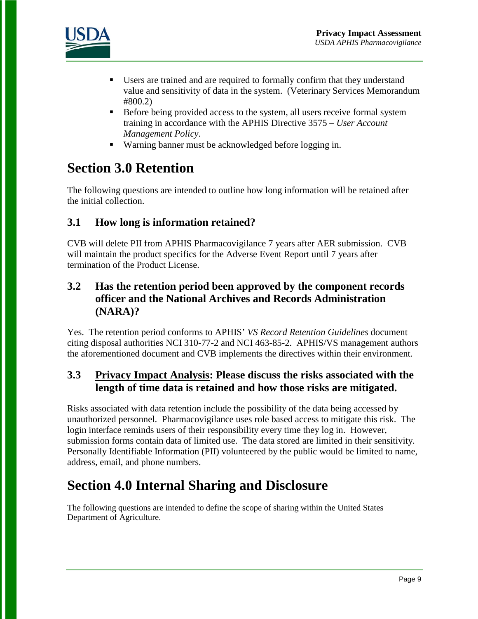

- Users are trained and are required to formally confirm that they understand value and sensitivity of data in the system. (Veterinary Services Memorandum #800.2)
- Before being provided access to the system, all users receive formal system training in accordance with the APHIS Directive 3575 – *User Account Management Policy*.
- Warning banner must be acknowledged before logging in.

# **Section 3.0 Retention**

The following questions are intended to outline how long information will be retained after the initial collection.

# **3.1 How long is information retained?**

CVB will delete PII from APHIS Pharmacovigilance 7 years after AER submission. CVB will maintain the product specifics for the Adverse Event Report until 7 years after termination of the Product License.

# **3.2 Has the retention period been approved by the component records officer and the National Archives and Records Administration (NARA)?**

Yes. The retention period conforms to APHIS' *VS Record Retention Guidelines* document citing disposal authorities NCI 310-77-2 and NCI 463-85-2. APHIS/VS management authors the aforementioned document and CVB implements the directives within their environment.

# **3.3 Privacy Impact Analysis: Please discuss the risks associated with the length of time data is retained and how those risks are mitigated.**

Risks associated with data retention include the possibility of the data being accessed by unauthorized personnel. Pharmacovigilance uses role based access to mitigate this risk. The login interface reminds users of their responsibility every time they log in. However, submission forms contain data of limited use. The data stored are limited in their sensitivity. Personally Identifiable Information (PII) volunteered by the public would be limited to name, address, email, and phone numbers.

# **Section 4.0 Internal Sharing and Disclosure**

The following questions are intended to define the scope of sharing within the United States Department of Agriculture.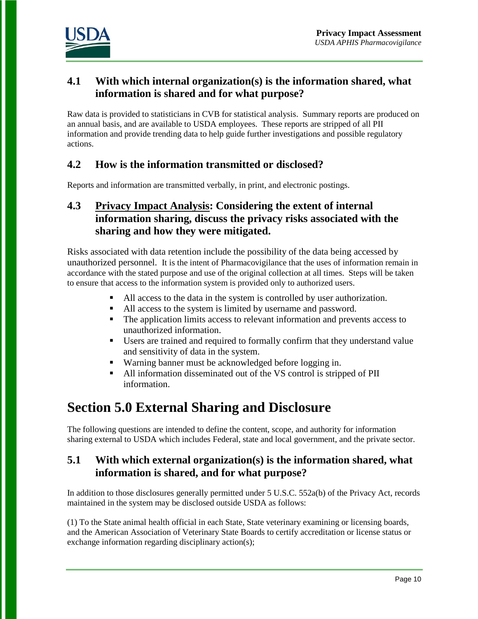

# **4.1 With which internal organization(s) is the information shared, what information is shared and for what purpose?**

Raw data is provided to statisticians in CVB for statistical analysis. Summary reports are produced on an annual basis, and are available to USDA employees. These reports are stripped of all PII information and provide trending data to help guide further investigations and possible regulatory actions.

# **4.2 How is the information transmitted or disclosed?**

Reports and information are transmitted verbally, in print, and electronic postings.

# **4.3 Privacy Impact Analysis: Considering the extent of internal information sharing, discuss the privacy risks associated with the sharing and how they were mitigated.**

Risks associated with data retention include the possibility of the data being accessed by unauthorized personnel. It is the intent of Pharmacovigilance that the uses of information remain in accordance with the stated purpose and use of the original collection at all times. Steps will be taken to ensure that access to the information system is provided only to authorized users.

- All access to the data in the system is controlled by user authorization.
- All access to the system is limited by username and password.
- The application limits access to relevant information and prevents access to unauthorized information.
- Users are trained and required to formally confirm that they understand value and sensitivity of data in the system.
- Warning banner must be acknowledged before logging in.
- All information disseminated out of the VS control is stripped of PII information.

# **Section 5.0 External Sharing and Disclosure**

The following questions are intended to define the content, scope, and authority for information sharing external to USDA which includes Federal, state and local government, and the private sector.

# **5.1 With which external organization(s) is the information shared, what information is shared, and for what purpose?**

In addition to those disclosures generally permitted under 5 U.S.C. 552a(b) of the Privacy Act, records maintained in the system may be disclosed outside USDA as follows:

(1) To the State animal health official in each State, State veterinary examining or licensing boards, and the American Association of Veterinary State Boards to certify accreditation or license status or exchange information regarding disciplinary action(s);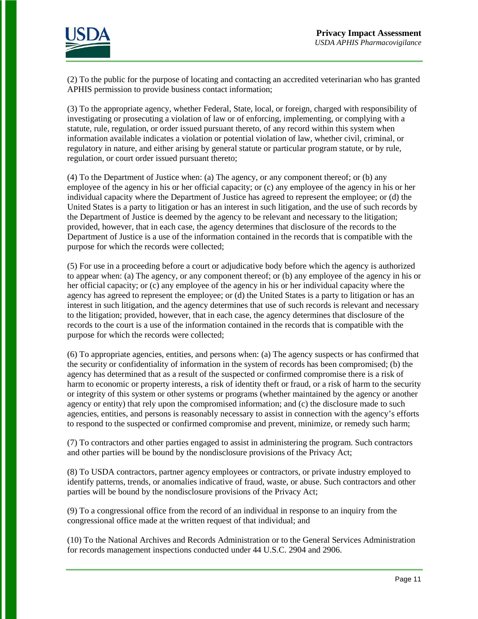

(2) To the public for the purpose of locating and contacting an accredited veterinarian who has granted APHIS permission to provide business contact information;

(3) To the appropriate agency, whether Federal, State, local, or foreign, charged with responsibility of investigating or prosecuting a violation of law or of enforcing, implementing, or complying with a statute, rule, regulation, or order issued pursuant thereto, of any record within this system when information available indicates a violation or potential violation of law, whether civil, criminal, or regulatory in nature, and either arising by general statute or particular program statute, or by rule, regulation, or court order issued pursuant thereto;

(4) To the Department of Justice when: (a) The agency, or any component thereof; or (b) any employee of the agency in his or her official capacity; or (c) any employee of the agency in his or her individual capacity where the Department of Justice has agreed to represent the employee; or (d) the United States is a party to litigation or has an interest in such litigation, and the use of such records by the Department of Justice is deemed by the agency to be relevant and necessary to the litigation; provided, however, that in each case, the agency determines that disclosure of the records to the Department of Justice is a use of the information contained in the records that is compatible with the purpose for which the records were collected;

(5) For use in a proceeding before a court or adjudicative body before which the agency is authorized to appear when: (a) The agency, or any component thereof; or (b) any employee of the agency in his or her official capacity; or (c) any employee of the agency in his or her individual capacity where the agency has agreed to represent the employee; or (d) the United States is a party to litigation or has an interest in such litigation, and the agency determines that use of such records is relevant and necessary to the litigation; provided, however, that in each case, the agency determines that disclosure of the records to the court is a use of the information contained in the records that is compatible with the purpose for which the records were collected;

(6) To appropriate agencies, entities, and persons when: (a) The agency suspects or has confirmed that the security or confidentiality of information in the system of records has been compromised; (b) the agency has determined that as a result of the suspected or confirmed compromise there is a risk of harm to economic or property interests, a risk of identity theft or fraud, or a risk of harm to the security or integrity of this system or other systems or programs (whether maintained by the agency or another agency or entity) that rely upon the compromised information; and (c) the disclosure made to such agencies, entities, and persons is reasonably necessary to assist in connection with the agency's efforts to respond to the suspected or confirmed compromise and prevent, minimize, or remedy such harm;

(7) To contractors and other parties engaged to assist in administering the program. Such contractors and other parties will be bound by the nondisclosure provisions of the Privacy Act;

(8) To USDA contractors, partner agency employees or contractors, or private industry employed to identify patterns, trends, or anomalies indicative of fraud, waste, or abuse. Such contractors and other parties will be bound by the nondisclosure provisions of the Privacy Act;

(9) To a congressional office from the record of an individual in response to an inquiry from the congressional office made at the written request of that individual; and

(10) To the National Archives and Records Administration or to the General Services Administration for records management inspections conducted under 44 U.S.C. 2904 and 2906.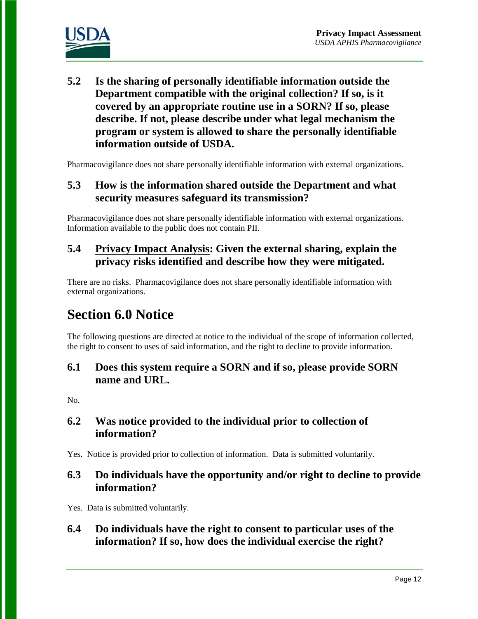

**5.2 Is the sharing of personally identifiable information outside the Department compatible with the original collection? If so, is it covered by an appropriate routine use in a SORN? If so, please describe. If not, please describe under what legal mechanism the program or system is allowed to share the personally identifiable information outside of USDA.** 

Pharmacovigilance does not share personally identifiable information with external organizations.

# **5.3 How is the information shared outside the Department and what security measures safeguard its transmission?**

Pharmacovigilance does not share personally identifiable information with external organizations. Information available to the public does not contain PII.

# **5.4 Privacy Impact Analysis: Given the external sharing, explain the privacy risks identified and describe how they were mitigated.**

There are no risks. Pharmacovigilance does not share personally identifiable information with external organizations.

# **Section 6.0 Notice**

The following questions are directed at notice to the individual of the scope of information collected, the right to consent to uses of said information, and the right to decline to provide information.

# **6.1 Does this system require a SORN and if so, please provide SORN name and URL.**

No.

# **6.2 Was notice provided to the individual prior to collection of information?**

Yes. Notice is provided prior to collection of information. Data is submitted voluntarily.

# **6.3 Do individuals have the opportunity and/or right to decline to provide information?**

Yes. Data is submitted voluntarily.

**6.4 Do individuals have the right to consent to particular uses of the information? If so, how does the individual exercise the right?**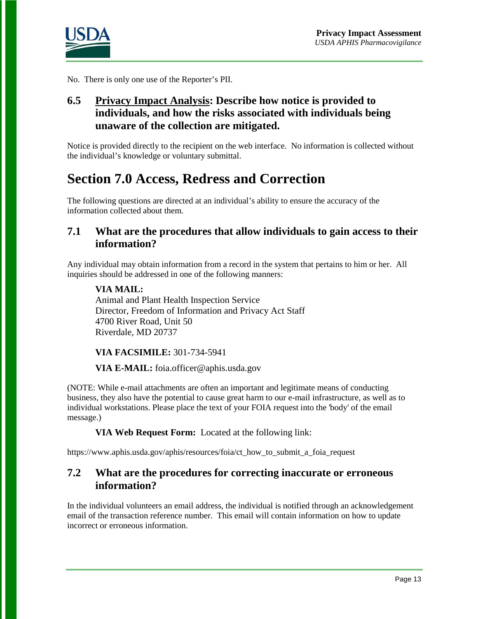

No. There is only one use of the Reporter's PII.

# **6.5 Privacy Impact Analysis: Describe how notice is provided to individuals, and how the risks associated with individuals being unaware of the collection are mitigated.**

Notice is provided directly to the recipient on the web interface. No information is collected without the individual's knowledge or voluntary submittal.

# **Section 7.0 Access, Redress and Correction**

The following questions are directed at an individual's ability to ensure the accuracy of the information collected about them.

### **7.1 What are the procedures that allow individuals to gain access to their information?**

Any individual may obtain information from a record in the system that pertains to him or her. All inquiries should be addressed in one of the following manners:

#### **VIA MAIL:**

Animal and Plant Health Inspection Service Director, Freedom of Information and Privacy Act Staff 4700 River Road, Unit 50 Riverdale, MD 20737

#### **VIA FACSIMILE:** 301-734-5941

#### **VIA E-MAIL:** foia.officer@aphis.usda.gov

(NOTE: While e-mail attachments are often an important and legitimate means of conducting business, they also have the potential to cause great harm to our e-mail infrastructure, as well as to individual workstations. Please place the text of your FOIA request into the 'body' of the email message.)

**VIA Web Request Form:** Located at the following link:

https://www.aphis.usda.gov/aphis/resources/foia/ct\_how\_to\_submit\_a\_foia\_request

### **7.2 What are the procedures for correcting inaccurate or erroneous information?**

In the individual volunteers an email address, the individual is notified through an acknowledgement email of the transaction reference number. This email will contain information on how to update incorrect or erroneous information.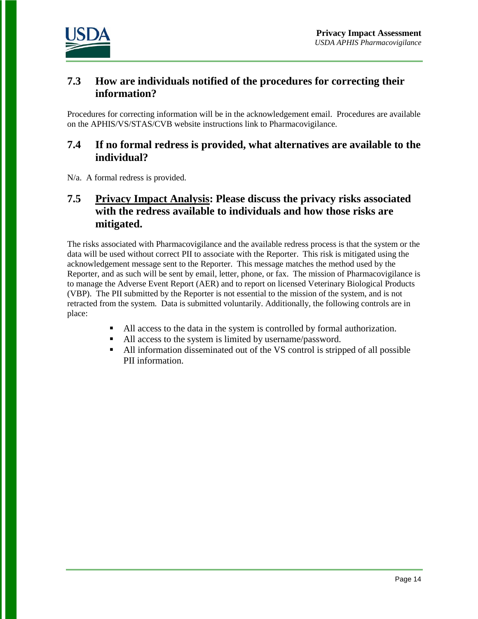

### **7.3 How are individuals notified of the procedures for correcting their information?**

Procedures for correcting information will be in the acknowledgement email. Procedures are available on the APHIS/VS/STAS/CVB website instructions link to Pharmacovigilance.

# **7.4 If no formal redress is provided, what alternatives are available to the individual?**

N/a. A formal redress is provided.

# **7.5 Privacy Impact Analysis: Please discuss the privacy risks associated with the redress available to individuals and how those risks are mitigated.**

The risks associated with Pharmacovigilance and the available redress process is that the system or the data will be used without correct PII to associate with the Reporter. This risk is mitigated using the acknowledgement message sent to the Reporter. This message matches the method used by the Reporter, and as such will be sent by email, letter, phone, or fax. The mission of Pharmacovigilance is to manage the Adverse Event Report (AER) and to report on licensed Veterinary Biological Products (VBP). The PII submitted by the Reporter is not essential to the mission of the system, and is not retracted from the system. Data is submitted voluntarily. Additionally, the following controls are in place:

- All access to the data in the system is controlled by formal authorization.
- All access to the system is limited by username/password.
- All information disseminated out of the VS control is stripped of all possible PII information.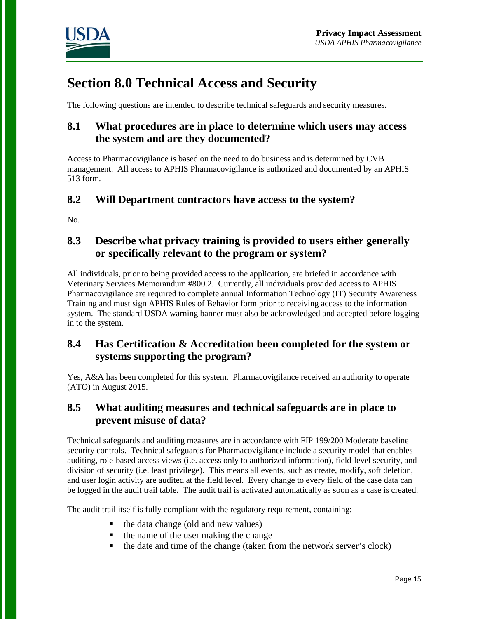

# **Section 8.0 Technical Access and Security**

The following questions are intended to describe technical safeguards and security measures.

# **8.1 What procedures are in place to determine which users may access the system and are they documented?**

Access to Pharmacovigilance is based on the need to do business and is determined by CVB management. All access to APHIS Pharmacovigilance is authorized and documented by an APHIS 513 form.

# **8.2 Will Department contractors have access to the system?**

No.

# **8.3 Describe what privacy training is provided to users either generally or specifically relevant to the program or system?**

All individuals, prior to being provided access to the application, are briefed in accordance with Veterinary Services Memorandum #800.2. Currently, all individuals provided access to APHIS Pharmacovigilance are required to complete annual Information Technology (IT) Security Awareness Training and must sign APHIS Rules of Behavior form prior to receiving access to the information system. The standard USDA warning banner must also be acknowledged and accepted before logging in to the system.

# **8.4 Has Certification & Accreditation been completed for the system or systems supporting the program?**

Yes, A&A has been completed for this system. Pharmacovigilance received an authority to operate (ATO) in August 2015.

# **8.5 What auditing measures and technical safeguards are in place to prevent misuse of data?**

Technical safeguards and auditing measures are in accordance with FIP 199/200 Moderate baseline security controls. Technical safeguards for Pharmacovigilance include a security model that enables auditing, role-based access views (i.e. access only to authorized information), field-level security, and division of security (i.e. least privilege). This means all events, such as create, modify, soft deletion, and user login activity are audited at the field level. Every change to every field of the case data can be logged in the audit trail table. The audit trail is activated automatically as soon as a case is created.

The audit trail itself is fully compliant with the regulatory requirement, containing:

- $\blacksquare$  the data change (old and new values)
- $\blacksquare$  the name of the user making the change
- $\blacksquare$  the date and time of the change (taken from the network server's clock)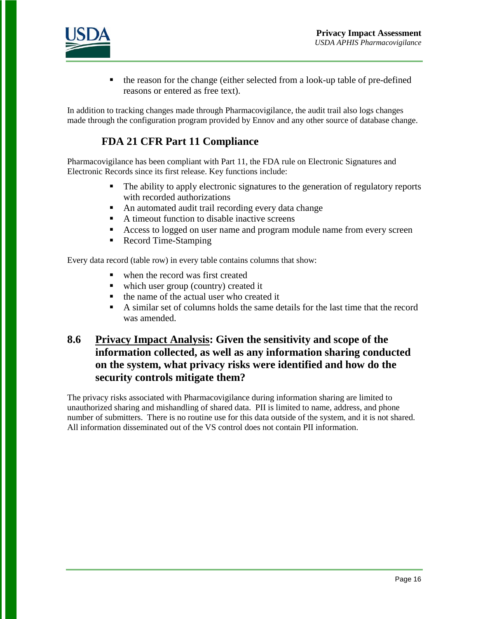

 the reason for the change (either selected from a look-up table of pre-defined reasons or entered as free text).

In addition to tracking changes made through Pharmacovigilance, the audit trail also logs changes made through the configuration program provided by Ennov and any other source of database change.

# **FDA 21 CFR Part 11 Compliance**

Pharmacovigilance has been compliant with Part 11, the FDA rule on Electronic Signatures and Electronic Records since its first release. Key functions include:

- The ability to apply electronic signatures to the generation of regulatory reports with recorded authorizations
- An automated audit trail recording every data change
- A timeout function to disable inactive screens
- Access to logged on user name and program module name from every screen
- Record Time-Stamping

Every data record (table row) in every table contains columns that show:

- when the record was first created
- which user group (country) created it
- $\blacksquare$  the name of the actual user who created it
- A similar set of columns holds the same details for the last time that the record was amended.

# **8.6 Privacy Impact Analysis: Given the sensitivity and scope of the information collected, as well as any information sharing conducted on the system, what privacy risks were identified and how do the security controls mitigate them?**

The privacy risks associated with Pharmacovigilance during information sharing are limited to unauthorized sharing and mishandling of shared data. PII is limited to name, address, and phone number of submitters. There is no routine use for this data outside of the system, and it is not shared. All information disseminated out of the VS control does not contain PII information.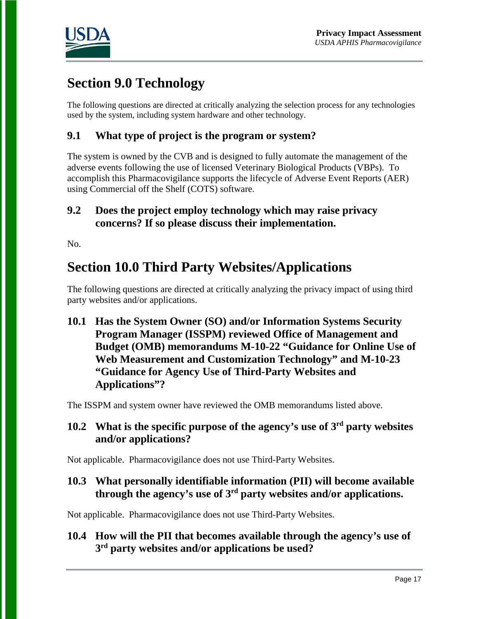

# **Section 9.0 Technology**

The following questions are directed at critically analyzing the selection process for any technologies used by the system, including system hardware and other technology.

# **9.1 What type of project is the program or system?**

The system is owned by the CVB and is designed to fully automate the management of the adverse events following the use of licensed Veterinary Biological Products (VBPs). To accomplish this Pharmacovigilance supports the lifecycle of Adverse Event Reports (AER) using Commercial off the Shelf (COTS) software.

### **9.2 Does the project employ technology which may raise privacy concerns? If so please discuss their implementation.**

No.

# **Section 10.0 Third Party Websites/Applications**

The following questions are directed at critically analyzing the privacy impact of using third party websites and/or applications.

**10.1 Has the System Owner (SO) and/or Information Systems Security Program Manager (ISSPM) reviewed Office of Management and Budget (OMB) memorandums M-10-22 "Guidance for Online Use of Web Measurement and Customization Technology" and M-10-23 "Guidance for Agency Use of Third-Party Websites and Applications"?**

The ISSPM and system owner have reviewed the OMB memorandums listed above.

# **10.2 What is the specific purpose of the agency's use of 3rd party websites and/or applications?**

Not applicable. Pharmacovigilance does not use Third-Party Websites.

### **10.3 What personally identifiable information (PII) will become available through the agency's use of 3rd party websites and/or applications.**

Not applicable. Pharmacovigilance does not use Third-Party Websites.

# **10.4 How will the PII that becomes available through the agency's use of 3rd party websites and/or applications be used?**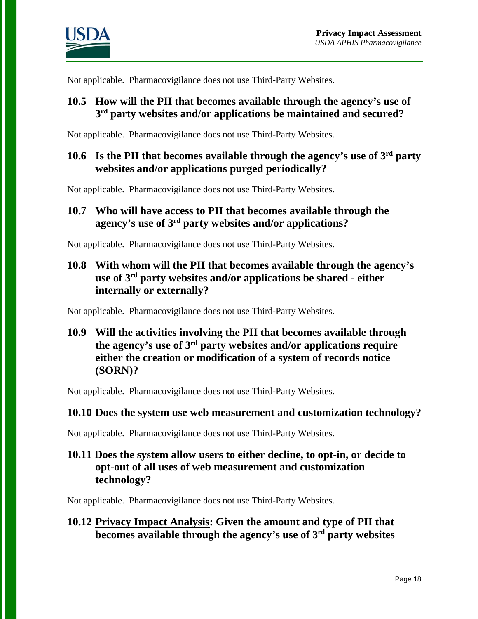

Not applicable. Pharmacovigilance does not use Third-Party Websites.

### **10.5 How will the PII that becomes available through the agency's use of 3rd party websites and/or applications be maintained and secured?**

Not applicable. Pharmacovigilance does not use Third-Party Websites.

### **10.6 Is the PII that becomes available through the agency's use of 3rd party websites and/or applications purged periodically?**

Not applicable. Pharmacovigilance does not use Third-Party Websites.

# **10.7 Who will have access to PII that becomes available through the agency's use of 3rd party websites and/or applications?**

Not applicable. Pharmacovigilance does not use Third-Party Websites.

# **10.8 With whom will the PII that becomes available through the agency's use of 3rd party websites and/or applications be shared - either internally or externally?**

Not applicable. Pharmacovigilance does not use Third-Party Websites.

**10.9 Will the activities involving the PII that becomes available through the agency's use of 3rd party websites and/or applications require either the creation or modification of a system of records notice (SORN)?**

Not applicable. Pharmacovigilance does not use Third-Party Websites.

### **10.10 Does the system use web measurement and customization technology?**

Not applicable. Pharmacovigilance does not use Third-Party Websites.

### **10.11 Does the system allow users to either decline, to opt-in, or decide to opt-out of all uses of web measurement and customization technology?**

Not applicable. Pharmacovigilance does not use Third-Party Websites.

### **10.12 Privacy Impact Analysis: Given the amount and type of PII that becomes available through the agency's use of 3rd party websites**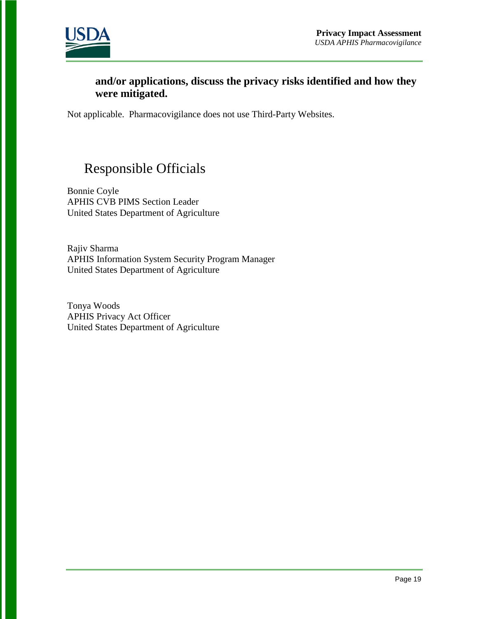

### **and/or applications, discuss the privacy risks identified and how they were mitigated.**

Not applicable. Pharmacovigilance does not use Third-Party Websites.

# Responsible Officials

Bonnie Coyle APHIS CVB PIMS Section Leader United States Department of Agriculture

Rajiv Sharma APHIS Information System Security Program Manager United States Department of Agriculture

Tonya Woods APHIS Privacy Act Officer United States Department of Agriculture